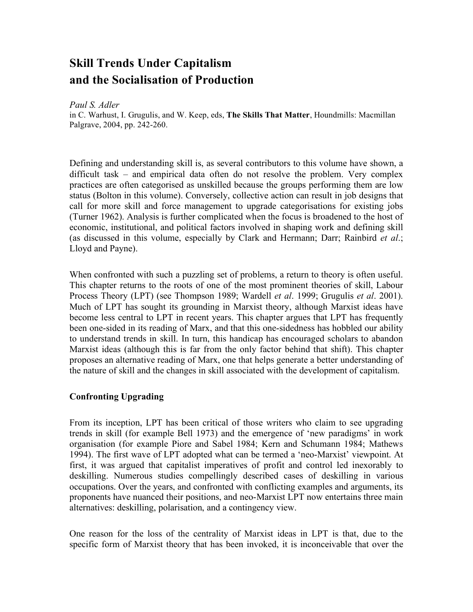# **Skill Trends Under Capitalism and the Socialisation of Production**

*Paul S. Adler* in C. Warhust, I. Grugulis, and W. Keep, eds, **The Skills That Matter**, Houndmills: Macmillan Palgrave, 2004, pp. 242-260.

Defining and understanding skill is, as several contributors to this volume have shown, a difficult task – and empirical data often do not resolve the problem. Very complex practices are often categorised as unskilled because the groups performing them are low status (Bolton in this volume). Conversely, collective action can result in job designs that call for more skill and force management to upgrade categorisations for existing jobs (Turner 1962). Analysis is further complicated when the focus is broadened to the host of economic, institutional, and political factors involved in shaping work and defining skill (as discussed in this volume, especially by Clark and Hermann; Darr; Rainbird *et al*.; Lloyd and Payne).

When confronted with such a puzzling set of problems, a return to theory is often useful. This chapter returns to the roots of one of the most prominent theories of skill, Labour Process Theory (LPT) (see Thompson 1989; Wardell *et al*. 1999; Grugulis *et al*. 2001). Much of LPT has sought its grounding in Marxist theory, although Marxist ideas have become less central to LPT in recent years. This chapter argues that LPT has frequently been one-sided in its reading of Marx, and that this one-sidedness has hobbled our ability to understand trends in skill. In turn, this handicap has encouraged scholars to abandon Marxist ideas (although this is far from the only factor behind that shift). This chapter proposes an alternative reading of Marx, one that helps generate a better understanding of the nature of skill and the changes in skill associated with the development of capitalism.

## **Confronting Upgrading**

From its inception, LPT has been critical of those writers who claim to see upgrading trends in skill (for example Bell 1973) and the emergence of 'new paradigms' in work organisation (for example Piore and Sabel 1984; Kern and Schumann 1984; Mathews 1994). The first wave of LPT adopted what can be termed a 'neo-Marxist' viewpoint. At first, it was argued that capitalist imperatives of profit and control led inexorably to deskilling. Numerous studies compellingly described cases of deskilling in various occupations. Over the years, and confronted with conflicting examples and arguments, its proponents have nuanced their positions, and neo-Marxist LPT now entertains three main alternatives: deskilling, polarisation, and a contingency view.

One reason for the loss of the centrality of Marxist ideas in LPT is that, due to the specific form of Marxist theory that has been invoked, it is inconceivable that over the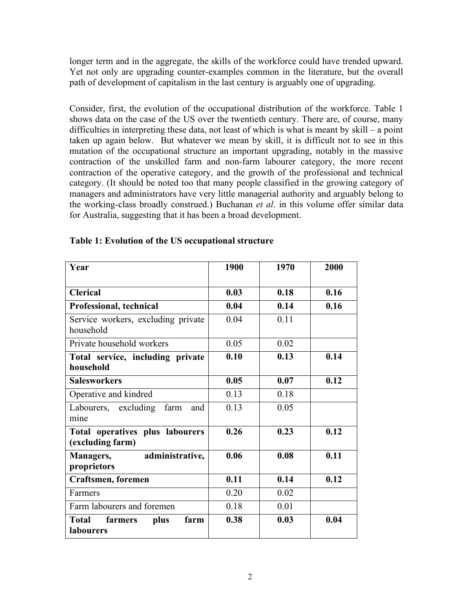longer term and in the aggregate, the skills of the workforce could have trended upward. Yet not only are upgrading counter-examples common in the literature, but the overall path of development of capitalism in the last century is arguably one of upgrading.

Consider, first, the evolution of the occupational distribution of the workforce. Table 1 shows data on the case of the US over the twentieth century. There are, of course, many difficulties in interpreting these data, not least of which is what is meant by skill – a point taken up again below. But whatever we mean by skill, it is difficult not to see in this mutation of the occupational structure an important upgrading, notably in the massive contraction of the unskilled farm and non-farm labourer category, the more recent contraction of the operative category, and the growth of the professional and technical category. (It should be noted too that many people classified in the growing category of managers and administrators have very little managerial authority and arguably belong to the working-class broadly construed.) Buchanan *et al*. in this volume offer similar data for Australia, suggesting that it has been a broad development.

| Year                                                        | 1900 | 1970 | 2000 |
|-------------------------------------------------------------|------|------|------|
|                                                             |      |      |      |
| <b>Clerical</b>                                             | 0.03 | 0.18 | 0.16 |
| Professional, technical                                     | 0.04 | 0.14 | 0.16 |
| Service workers, excluding private<br>household             | 0.04 | 0.11 |      |
| Private household workers                                   | 0.05 | 0.02 |      |
| Total service, including private<br>household               | 0.10 | 0.13 | 0.14 |
| <b>Salesworkers</b>                                         | 0.05 | 0.07 | 0.12 |
| Operative and kindred                                       | 0.13 | 0.18 |      |
| Labourers, excluding<br>farm<br>and<br>mine                 | 0.13 | 0.05 |      |
| Total operatives plus labourers<br>(excluding farm)         | 0.26 | 0.23 | 0.12 |
| administrative,<br>Managers,<br>proprietors                 | 0.06 | 0.08 | 0.11 |
| <b>Craftsmen, foremen</b>                                   | 0.11 | 0.14 | 0.12 |
| Farmers                                                     | 0.20 | 0.02 |      |
| Farm labourers and foremen                                  | 0.18 | 0.01 |      |
| <b>Total</b><br>plus<br>farm<br>farmers<br><b>labourers</b> | 0.38 | 0.03 | 0.04 |

|  |  |  |  |  | Table 1: Evolution of the US occupational structure |  |
|--|--|--|--|--|-----------------------------------------------------|--|
|--|--|--|--|--|-----------------------------------------------------|--|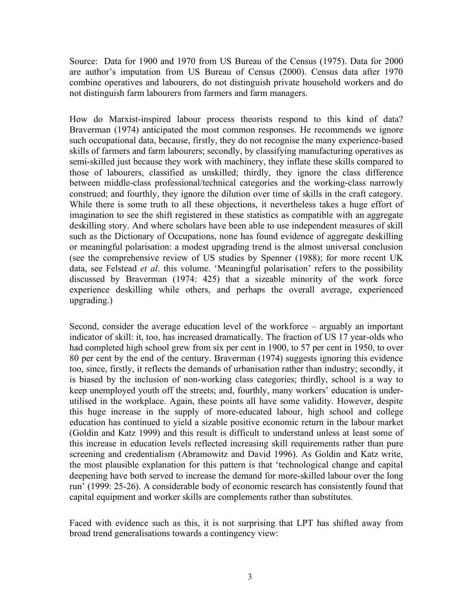Source: Data for 1900 and 1970 from US Bureau of the Census (1975). Data for 2000 are author's imputation from US Bureau of Census (2000). Census data after 1970 combine operatives and labourers, do not distinguish private household workers and do not distinguish farm labourers from farmers and farm managers.

How do Marxist-inspired labour process theorists respond to this kind of data? Braverman (1974) anticipated the most common responses. He recommends we ignore such occupational data, because, firstly, they do not recognise the many experience-based skills of farmers and farm labourers; secondly, by classifying manufacturing operatives as semi-skilled just because they work with machinery, they inflate these skills compared to those of labourers, classified as unskilled; thirdly, they ignore the class difference between middle-class professional/technical categories and the working-class narrowly construed; and fourthly, they ignore the dilution over time of skills in the craft category. While there is some truth to all these objections, it nevertheless takes a huge effort of imagination to see the shift registered in these statistics as compatible with an aggregate deskilling story. And where scholars have been able to use independent measures of skill such as the Dictionary of Occupations, none has found evidence of aggregate deskilling or meaningful polarisation: a modest upgrading trend is the almost universal conclusion (see the comprehensive review of US studies by Spenner (1988); for more recent UK data, see Felstead *et al*. this volume. 'Meaningful polarisation' refers to the possibility discussed by Braverman (1974: 425) that a sizeable minority of the work force experience deskilling while others, and perhaps the overall average, experienced upgrading.)

Second, consider the average education level of the workforce – arguably an important indicator of skill: it, too, has increased dramatically. The fraction of US 17 year-olds who had completed high school grew from six per cent in 1900, to 57 per cent in 1950, to over 80 per cent by the end of the century. Braverman (1974) suggests ignoring this evidence too, since, firstly, it reflects the demands of urbanisation rather than industry; secondly, it is biased by the inclusion of non-working class categories; thirdly, school is a way to keep unemployed youth off the streets; and, fourthly, many workers' education is underutilised in the workplace. Again, these points all have some validity. However, despite this huge increase in the supply of more-educated labour, high school and college education has continued to yield a sizable positive economic return in the labour market (Goldin and Katz 1999) and this result is difficult to understand unless at least some of this increase in education levels reflected increasing skill requirements rather than pure screening and credentialism (Abramowitz and David 1996). As Goldin and Katz write, the most plausible explanation for this pattern is that 'technological change and capital deepening have both served to increase the demand for more-skilled labour over the long run' (1999: 25-26). A considerable body of economic research has consistently found that capital equipment and worker skills are complements rather than substitutes.

Faced with evidence such as this, it is not surprising that LPT has shifted away from broad trend generalisations towards a contingency view: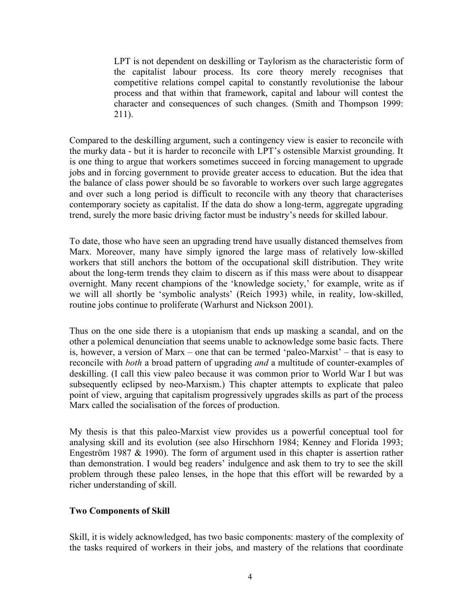LPT is not dependent on deskilling or Taylorism as the characteristic form of the capitalist labour process. Its core theory merely recognises that competitive relations compel capital to constantly revolutionise the labour process and that within that framework, capital and labour will contest the character and consequences of such changes. (Smith and Thompson 1999: 211).

Compared to the deskilling argument, such a contingency view is easier to reconcile with the murky data - but it is harder to reconcile with LPT's ostensible Marxist grounding. It is one thing to argue that workers sometimes succeed in forcing management to upgrade jobs and in forcing government to provide greater access to education. But the idea that the balance of class power should be so favorable to workers over such large aggregates and over such a long period is difficult to reconcile with any theory that characterises contemporary society as capitalist. If the data do show a long-term, aggregate upgrading trend, surely the more basic driving factor must be industry's needs for skilled labour.

To date, those who have seen an upgrading trend have usually distanced themselves from Marx. Moreover, many have simply ignored the large mass of relatively low-skilled workers that still anchors the bottom of the occupational skill distribution. They write about the long-term trends they claim to discern as if this mass were about to disappear overnight. Many recent champions of the 'knowledge society,' for example, write as if we will all shortly be 'symbolic analysts' (Reich 1993) while, in reality, low-skilled, routine jobs continue to proliferate (Warhurst and Nickson 2001).

Thus on the one side there is a utopianism that ends up masking a scandal, and on the other a polemical denunciation that seems unable to acknowledge some basic facts. There is, however, a version of Marx – one that can be termed 'paleo-Marxist' – that is easy to reconcile with *both* a broad pattern of upgrading *and* a multitude of counter-examples of deskilling. (I call this view paleo because it was common prior to World War I but was subsequently eclipsed by neo-Marxism.) This chapter attempts to explicate that paleo point of view, arguing that capitalism progressively upgrades skills as part of the process Marx called the socialisation of the forces of production.

My thesis is that this paleo-Marxist view provides us a powerful conceptual tool for analysing skill and its evolution (see also Hirschhorn 1984; Kenney and Florida 1993; Engeström 1987 & 1990). The form of argument used in this chapter is assertion rather than demonstration. I would beg readers' indulgence and ask them to try to see the skill problem through these paleo lenses, in the hope that this effort will be rewarded by a richer understanding of skill.

# **Two Components of Skill**

Skill, it is widely acknowledged, has two basic components: mastery of the complexity of the tasks required of workers in their jobs, and mastery of the relations that coordinate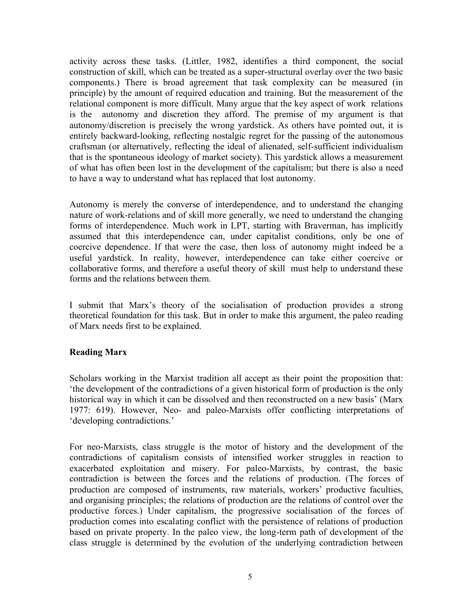activity across these tasks. (Littler, 1982, identifies a third component, the social construction of skill, which can be treated as a super-structural overlay over the two basic components.) There is broad agreement that task complexity can be measured (in principle) by the amount of required education and training. But the measurement of the relational component is more difficult. Many argue that the key aspect of work relations is the autonomy and discretion they afford. The premise of my argument is that autonomy/discretion is precisely the wrong yardstick. As others have pointed out, it is entirely backward-looking, reflecting nostalgic regret for the passing of the autonomous craftsman (or alternatively, reflecting the ideal of alienated, self-sufficient individualism that is the spontaneous ideology of market society). This yardstick allows a measurement of what has often been lost in the development of the capitalism; but there is also a need to have a way to understand what has replaced that lost autonomy.

Autonomy is merely the converse of interdependence, and to understand the changing nature of work-relations and of skill more generally, we need to understand the changing forms of interdependence. Much work in LPT, starting with Braverman, has implicitly assumed that this interdependence can, under capitalist conditions, only be one of coercive dependence. If that were the case, then loss of autonomy might indeed be a useful yardstick. In reality, however, interdependence can take either coercive or collaborative forms, and therefore a useful theory of skill must help to understand these forms and the relations between them.

I submit that Marx's theory of the socialisation of production provides a strong theoretical foundation for this task. But in order to make this argument, the paleo reading of Marx needs first to be explained.

# **Reading Marx**

Scholars working in the Marxist tradition all accept as their point the proposition that: 'the development of the contradictions of a given historical form of production is the only historical way in which it can be dissolved and then reconstructed on a new basis' (Marx 1977: 619). However, Neo- and paleo-Marxists offer conflicting interpretations of 'developing contradictions.'

For neo-Marxists, class struggle is the motor of history and the development of the contradictions of capitalism consists of intensified worker struggles in reaction to exacerbated exploitation and misery. For paleo-Marxists, by contrast, the basic contradiction is between the forces and the relations of production. (The forces of production are composed of instruments, raw materials, workers' productive faculties, and organising principles; the relations of production are the relations of control over the productive forces.) Under capitalism, the progressive socialisation of the forces of production comes into escalating conflict with the persistence of relations of production based on private property. In the paleo view, the long-term path of development of the class struggle is determined by the evolution of the underlying contradiction between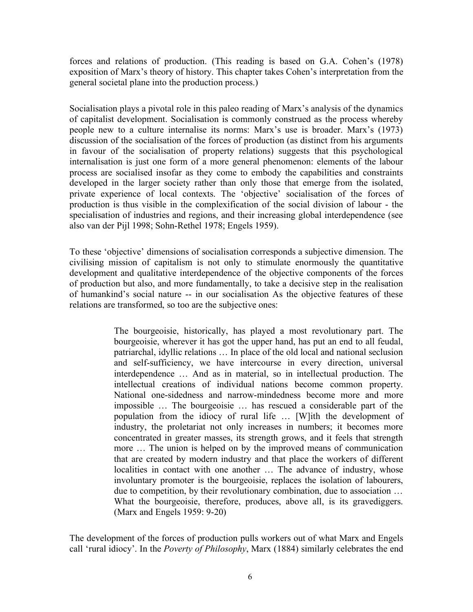forces and relations of production. (This reading is based on G.A. Cohen's (1978) exposition of Marx's theory of history. This chapter takes Cohen's interpretation from the general societal plane into the production process.)

Socialisation plays a pivotal role in this paleo reading of Marx's analysis of the dynamics of capitalist development. Socialisation is commonly construed as the process whereby people new to a culture internalise its norms: Marx's use is broader. Marx's (1973) discussion of the socialisation of the forces of production (as distinct from his arguments in favour of the socialisation of property relations) suggests that this psychological internalisation is just one form of a more general phenomenon: elements of the labour process are socialised insofar as they come to embody the capabilities and constraints developed in the larger society rather than only those that emerge from the isolated, private experience of local contexts. The 'objective' socialisation of the forces of production is thus visible in the complexification of the social division of labour - the specialisation of industries and regions, and their increasing global interdependence (see also van der Pijl 1998; Sohn-Rethel 1978; Engels 1959).

To these 'objective' dimensions of socialisation corresponds a subjective dimension. The civilising mission of capitalism is not only to stimulate enormously the quantitative development and qualitative interdependence of the objective components of the forces of production but also, and more fundamentally, to take a decisive step in the realisation of humankind's social nature -- in our socialisation As the objective features of these relations are transformed, so too are the subjective ones:

> The bourgeoisie, historically, has played a most revolutionary part. The bourgeoisie, wherever it has got the upper hand, has put an end to all feudal, patriarchal, idyllic relations … In place of the old local and national seclusion and self-sufficiency, we have intercourse in every direction, universal interdependence … And as in material, so in intellectual production. The intellectual creations of individual nations become common property. National one-sidedness and narrow-mindedness become more and more impossible … The bourgeoisie … has rescued a considerable part of the population from the idiocy of rural life … [W]ith the development of industry, the proletariat not only increases in numbers; it becomes more concentrated in greater masses, its strength grows, and it feels that strength more … The union is helped on by the improved means of communication that are created by modern industry and that place the workers of different localities in contact with one another … The advance of industry, whose involuntary promoter is the bourgeoisie, replaces the isolation of labourers, due to competition, by their revolutionary combination, due to association … What the bourgeoisie, therefore, produces, above all, is its gravediggers. (Marx and Engels 1959: 9-20)

The development of the forces of production pulls workers out of what Marx and Engels call 'rural idiocy'. In the *Poverty of Philosophy*, Marx (1884) similarly celebrates the end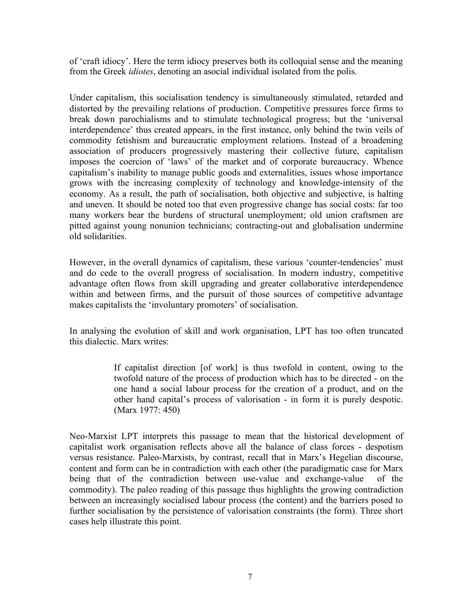of 'craft idiocy'. Here the term idiocy preserves both its colloquial sense and the meaning from the Greek *idiotes*, denoting an asocial individual isolated from the polis.

Under capitalism, this socialisation tendency is simultaneously stimulated, retarded and distorted by the prevailing relations of production. Competitive pressures force firms to break down parochialisms and to stimulate technological progress; but the 'universal interdependence' thus created appears, in the first instance, only behind the twin veils of commodity fetishism and bureaucratic employment relations. Instead of a broadening association of producers progressively mastering their collective future, capitalism imposes the coercion of 'laws' of the market and of corporate bureaucracy. Whence capitalism's inability to manage public goods and externalities, issues whose importance grows with the increasing complexity of technology and knowledge-intensity of the economy. As a result, the path of socialisation, both objective and subjective, is halting and uneven. It should be noted too that even progressive change has social costs: far too many workers bear the burdens of structural unemployment; old union craftsmen are pitted against young nonunion technicians; contracting-out and globalisation undermine old solidarities.

However, in the overall dynamics of capitalism, these various 'counter-tendencies' must and do cede to the overall progress of socialisation. In modern industry, competitive advantage often flows from skill upgrading and greater collaborative interdependence within and between firms, and the pursuit of those sources of competitive advantage makes capitalists the 'involuntary promoters' of socialisation.

In analysing the evolution of skill and work organisation, LPT has too often truncated this dialectic. Marx writes:

> If capitalist direction [of work] is thus twofold in content, owing to the twofold nature of the process of production which has to be directed - on the one hand a social labour process for the creation of a product, and on the other hand capital's process of valorisation - in form it is purely despotic. (Marx 1977: 450)

Neo-Marxist LPT interprets this passage to mean that the historical development of capitalist work organisation reflects above all the balance of class forces - despotism versus resistance. Paleo-Marxists, by contrast, recall that in Marx's Hegelian discourse, content and form can be in contradiction with each other (the paradigmatic case for Marx being that of the contradiction between use-value and exchange-value of the commodity). The paleo reading of this passage thus highlights the growing contradiction between an increasingly socialised labour process (the content) and the barriers posed to further socialisation by the persistence of valorisation constraints (the form). Three short cases help illustrate this point.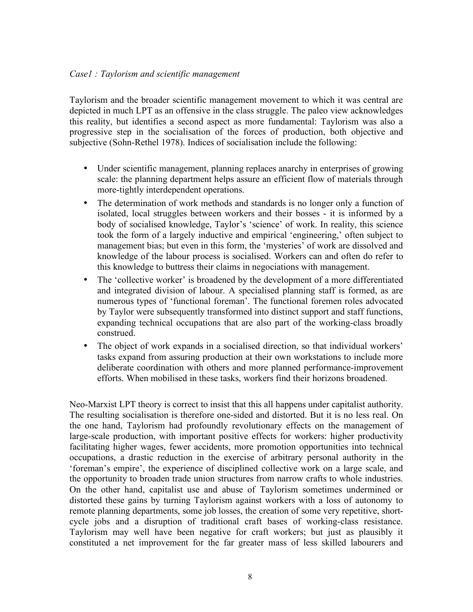#### *Case1 : Taylorism and scientific management*

Taylorism and the broader scientific management movement to which it was central are depicted in much LPT as an offensive in the class struggle. The paleo view acknowledges this reality, but identifies a second aspect as more fundamental: Taylorism was also a progressive step in the socialisation of the forces of production, both objective and subjective (Sohn-Rethel 1978). Indices of socialisation include the following:

Under scientific management, planning replaces anarchy in enterprises of growing scale: the planning department helps assure an efficient flow of materials through more-tightly interdependent operations.

The determination of work methods and standards is no longer only a function of isolated, local struggles between workers and their bosses - it is informed by a body of socialised knowledge, Taylor's 'science' of work. In reality, this science took the form of a largely inductive and empirical 'engineering,' often subject to management bias; but even in this form, the 'mysteries' of work are dissolved and knowledge of the labour process is socialised. Workers can and often do refer to this knowledge to buttress their claims in negociations with management.

The 'collective worker' is broadened by the development of a more differentiated and integrated division of labour. A specialised planning staff is formed, as are numerous types of 'functional foreman'. The functional foremen roles advocated by Taylor were subsequently transformed into distinct support and staff functions, expanding technical occupations that are also part of the working-class broadly construed.

The object of work expands in a socialised direction, so that individual workers' tasks expand from assuring production at their own workstations to include more deliberate coordination with others and more planned performance-improvement efforts. When mobilised in these tasks, workers find their horizons broadened.

Neo-Marxist LPT theory is correct to insist that this all happens under capitalist authority. The resulting socialisation is therefore one-sided and distorted. But it is no less real. On the one hand, Taylorism had profoundly revolutionary effects on the management of large-scale production, with important positive effects for workers: higher productivity facilitating higher wages, fewer accidents, more promotion opportunities into technical occupations, a drastic reduction in the exercise of arbitrary personal authority in the 'foreman's empire', the experience of disciplined collective work on a large scale, and the opportunity to broaden trade union structures from narrow crafts to whole industries. On the other hand, capitalist use and abuse of Taylorism sometimes undermined or distorted these gains by turning Taylorism against workers with a loss of autonomy to remote planning departments, some job losses, the creation of some very repetitive, shortcycle jobs and a disruption of traditional craft bases of working-class resistance. Taylorism may well have been negative for craft workers; but just as plausibly it constituted a net improvement for the far greater mass of less skilled labourers and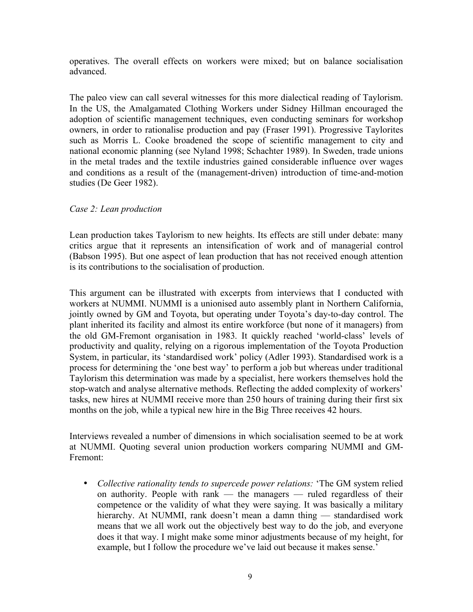operatives. The overall effects on workers were mixed; but on balance socialisation advanced.

The paleo view can call several witnesses for this more dialectical reading of Taylorism. In the US, the Amalgamated Clothing Workers under Sidney Hillman encouraged the adoption of scientific management techniques, even conducting seminars for workshop owners, in order to rationalise production and pay (Fraser 1991). Progressive Taylorites such as Morris L. Cooke broadened the scope of scientific management to city and national economic planning (see Nyland 1998; Schachter 1989). In Sweden, trade unions in the metal trades and the textile industries gained considerable influence over wages and conditions as a result of the (management-driven) introduction of time-and-motion studies (De Geer 1982).

## *Case 2: Lean production*

Lean production takes Taylorism to new heights. Its effects are still under debate: many critics argue that it represents an intensification of work and of managerial control (Babson 1995). But one aspect of lean production that has not received enough attention is its contributions to the socialisation of production.

This argument can be illustrated with excerpts from interviews that I conducted with workers at NUMMI. NUMMI is a unionised auto assembly plant in Northern California, jointly owned by GM and Toyota, but operating under Toyota's day-to-day control. The plant inherited its facility and almost its entire workforce (but none of it managers) from the old GM-Fremont organisation in 1983. It quickly reached 'world-class' levels of productivity and quality, relying on a rigorous implementation of the Toyota Production System, in particular, its 'standardised work' policy (Adler 1993). Standardised work is a process for determining the 'one best way' to perform a job but whereas under traditional Taylorism this determination was made by a specialist, here workers themselves hold the stop-watch and analyse alternative methods. Reflecting the added complexity of workers' tasks, new hires at NUMMI receive more than 250 hours of training during their first six months on the job, while a typical new hire in the Big Three receives 42 hours.

Interviews revealed a number of dimensions in which socialisation seemed to be at work at NUMMI. Quoting several union production workers comparing NUMMI and GM-Fremont:

*Collective rationality tends to supercede power relations:* 'The GM system relied on authority. People with rank — the managers — ruled regardless of their competence or the validity of what they were saying. It was basically a military hierarchy. At NUMMI, rank doesn't mean a damn thing — standardised work means that we all work out the objectively best way to do the job, and everyone does it that way. I might make some minor adjustments because of my height, for example, but I follow the procedure we've laid out because it makes sense.'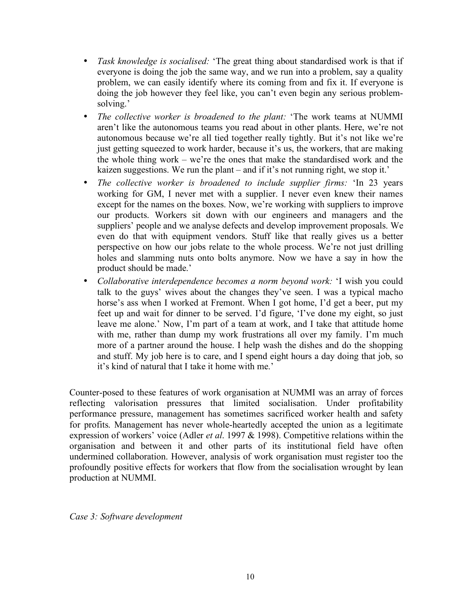*Task knowledge is socialised:* 'The great thing about standardised work is that if everyone is doing the job the same way, and we run into a problem, say a quality problem, we can easily identify where its coming from and fix it. If everyone is doing the job however they feel like, you can't even begin any serious problemsolving.'

*The collective worker is broadened to the plant:* 'The work teams at NUMMI aren't like the autonomous teams you read about in other plants. Here, we're not autonomous because we're all tied together really tightly. But it's not like we're just getting squeezed to work harder, because it's us, the workers, that are making the whole thing work – we're the ones that make the standardised work and the kaizen suggestions. We run the plant – and if it's not running right, we stop it.'

*The collective worker is broadened to include supplier firms:* 'In 23 years working for GM, I never met with a supplier. I never even knew their names except for the names on the boxes. Now, we're working with suppliers to improve our products. Workers sit down with our engineers and managers and the suppliers' people and we analyse defects and develop improvement proposals. We even do that with equipment vendors. Stuff like that really gives us a better perspective on how our jobs relate to the whole process. We're not just drilling holes and slamming nuts onto bolts anymore. Now we have a say in how the product should be made.'

*Collaborative interdependence becomes a norm beyond work:* 'I wish you could talk to the guys' wives about the changes they've seen. I was a typical macho horse's ass when I worked at Fremont. When I got home, I'd get a beer, put my feet up and wait for dinner to be served. I'd figure, 'I've done my eight, so just leave me alone.' Now, I'm part of a team at work, and I take that attitude home with me, rather than dump my work frustrations all over my family. I'm much more of a partner around the house. I help wash the dishes and do the shopping and stuff. My job here is to care, and I spend eight hours a day doing that job, so it's kind of natural that I take it home with me.'

Counter-posed to these features of work organisation at NUMMI was an array of forces reflecting valorisation pressures that limited socialisation. Under profitability performance pressure, management has sometimes sacrificed worker health and safety for profits. Management has never whole-heartedly accepted the union as a legitimate expression of workers' voice (Adler *et al*. 1997 & 1998). Competitive relations within the organisation and between it and other parts of its institutional field have often undermined collaboration. However, analysis of work organisation must register too the profoundly positive effects for workers that flow from the socialisation wrought by lean production at NUMMI.

*Case 3: Software development*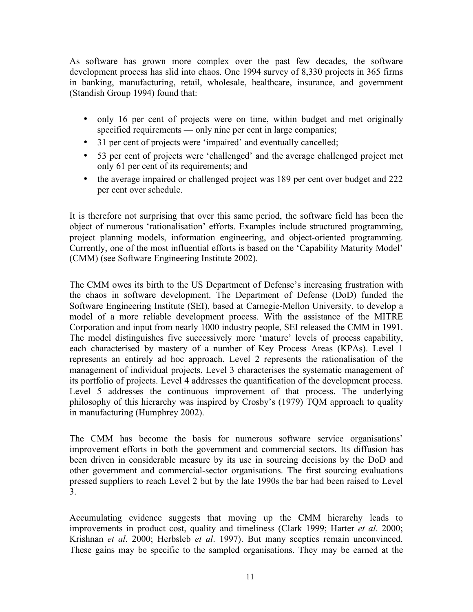As software has grown more complex over the past few decades, the software development process has slid into chaos. One 1994 survey of 8,330 projects in 365 firms in banking, manufacturing, retail, wholesale, healthcare, insurance, and government (Standish Group 1994) found that:

only 16 per cent of projects were on time, within budget and met originally specified requirements — only nine per cent in large companies;

31 per cent of projects were 'impaired' and eventually cancelled;

53 per cent of projects were 'challenged' and the average challenged project met only 61 per cent of its requirements; and

the average impaired or challenged project was 189 per cent over budget and 222 per cent over schedule.

It is therefore not surprising that over this same period, the software field has been the object of numerous 'rationalisation' efforts. Examples include structured programming, project planning models, information engineering, and object-oriented programming. Currently, one of the most influential efforts is based on the 'Capability Maturity Model' (CMM) (see Software Engineering Institute 2002).

The CMM owes its birth to the US Department of Defense's increasing frustration with the chaos in software development. The Department of Defense (DoD) funded the Software Engineering Institute (SEI), based at Carnegie-Mellon University, to develop a model of a more reliable development process. With the assistance of the MITRE Corporation and input from nearly 1000 industry people, SEI released the CMM in 1991. The model distinguishes five successively more 'mature' levels of process capability, each characterised by mastery of a number of Key Process Areas (KPAs). Level 1 represents an entirely ad hoc approach. Level 2 represents the rationalisation of the management of individual projects. Level 3 characterises the systematic management of its portfolio of projects. Level 4 addresses the quantification of the development process. Level 5 addresses the continuous improvement of that process. The underlying philosophy of this hierarchy was inspired by Crosby's (1979) TQM approach to quality in manufacturing (Humphrey 2002).

The CMM has become the basis for numerous software service organisations' improvement efforts in both the government and commercial sectors. Its diffusion has been driven in considerable measure by its use in sourcing decisions by the DoD and other government and commercial-sector organisations. The first sourcing evaluations pressed suppliers to reach Level 2 but by the late 1990s the bar had been raised to Level 3.

Accumulating evidence suggests that moving up the CMM hierarchy leads to improvements in product cost, quality and timeliness (Clark 1999; Harter *et al*. 2000; Krishnan *et al*. 2000; Herbsleb *et al*. 1997). But many sceptics remain unconvinced. These gains may be specific to the sampled organisations. They may be earned at the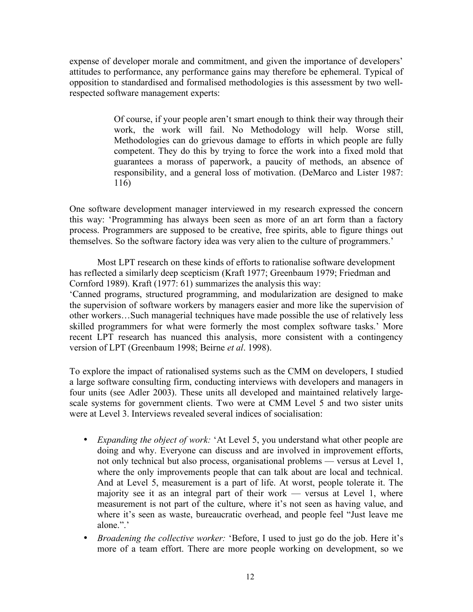expense of developer morale and commitment, and given the importance of developers' attitudes to performance, any performance gains may therefore be ephemeral. Typical of opposition to standardised and formalised methodologies is this assessment by two wellrespected software management experts:

> Of course, if your people aren't smart enough to think their way through their work, the work will fail. No Methodology will help. Worse still, Methodologies can do grievous damage to efforts in which people are fully competent. They do this by trying to force the work into a fixed mold that guarantees a morass of paperwork, a paucity of methods, an absence of responsibility, and a general loss of motivation. (DeMarco and Lister 1987: 116)

One software development manager interviewed in my research expressed the concern this way: 'Programming has always been seen as more of an art form than a factory process. Programmers are supposed to be creative, free spirits, able to figure things out themselves. So the software factory idea was very alien to the culture of programmers.'

Most LPT research on these kinds of efforts to rationalise software development has reflected a similarly deep scepticism (Kraft 1977; Greenbaum 1979; Friedman and Cornford 1989). Kraft (1977: 61) summarizes the analysis this way:

'Canned programs, structured programming, and modularization are designed to make the supervision of software workers by managers easier and more like the supervision of other workers…Such managerial techniques have made possible the use of relatively less skilled programmers for what were formerly the most complex software tasks.' More recent LPT research has nuanced this analysis, more consistent with a contingency version of LPT (Greenbaum 1998; Beirne *et al*. 1998).

To explore the impact of rationalised systems such as the CMM on developers, I studied a large software consulting firm, conducting interviews with developers and managers in four units (see Adler 2003). These units all developed and maintained relatively largescale systems for government clients. Two were at CMM Level 5 and two sister units were at Level 3. Interviews revealed several indices of socialisation:

*Expanding the object of work:* 'At Level 5, you understand what other people are doing and why. Everyone can discuss and are involved in improvement efforts, not only technical but also process, organisational problems — versus at Level 1, where the only improvements people that can talk about are local and technical. And at Level 5, measurement is a part of life. At worst, people tolerate it. The majority see it as an integral part of their work — versus at Level 1, where measurement is not part of the culture, where it's not seen as having value, and where it's seen as waste, bureaucratic overhead, and people feel "Just leave me alone.".'

*Broadening the collective worker:* 'Before, I used to just go do the job. Here it's more of a team effort. There are more people working on development, so we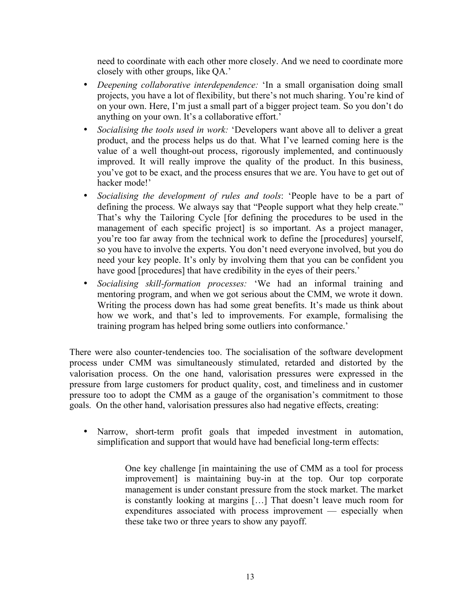need to coordinate with each other more closely. And we need to coordinate more closely with other groups, like QA.'

*Deepening collaborative interdependence:* 'In a small organisation doing small projects, you have a lot of flexibility, but there's not much sharing. You're kind of on your own. Here, I'm just a small part of a bigger project team. So you don't do anything on your own. It's a collaborative effort.'

*Socialising the tools used in work:* 'Developers want above all to deliver a great product, and the process helps us do that. What I've learned coming here is the value of a well thought-out process, rigorously implemented, and continuously improved. It will really improve the quality of the product. In this business, you've got to be exact, and the process ensures that we are. You have to get out of hacker mode!'

*Socialising the development of rules and tools*: 'People have to be a part of defining the process. We always say that "People support what they help create." That's why the Tailoring Cycle [for defining the procedures to be used in the management of each specific project] is so important. As a project manager, you're too far away from the technical work to define the [procedures] yourself, so you have to involve the experts. You don't need everyone involved, but you do need your key people. It's only by involving them that you can be confident you have good [procedures] that have credibility in the eyes of their peers.'

*Socialising skill-formation processes:* 'We had an informal training and mentoring program, and when we got serious about the CMM, we wrote it down. Writing the process down has had some great benefits. It's made us think about how we work, and that's led to improvements. For example, formalising the training program has helped bring some outliers into conformance.'

There were also counter-tendencies too. The socialisation of the software development process under CMM was simultaneously stimulated, retarded and distorted by the valorisation process. On the one hand, valorisation pressures were expressed in the pressure from large customers for product quality, cost, and timeliness and in customer pressure too to adopt the CMM as a gauge of the organisation's commitment to those goals. On the other hand, valorisation pressures also had negative effects, creating:

Narrow, short-term profit goals that impeded investment in automation, simplification and support that would have had beneficial long-term effects:

One key challenge [in maintaining the use of CMM as a tool for process improvement] is maintaining buy-in at the top. Our top corporate management is under constant pressure from the stock market. The market is constantly looking at margins […] That doesn't leave much room for expenditures associated with process improvement — especially when these take two or three years to show any payoff.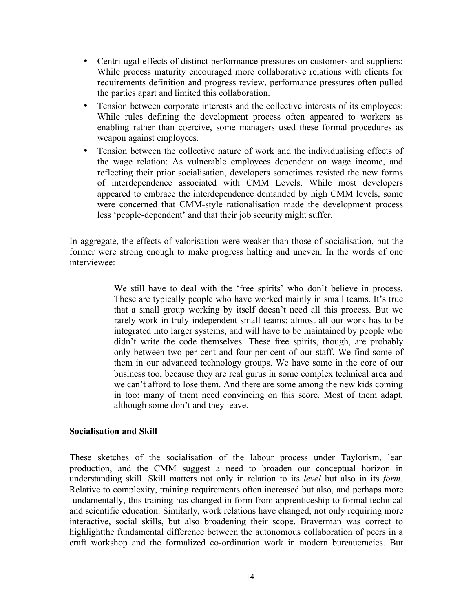Centrifugal effects of distinct performance pressures on customers and suppliers: While process maturity encouraged more collaborative relations with clients for requirements definition and progress review, performance pressures often pulled the parties apart and limited this collaboration.

Tension between corporate interests and the collective interests of its employees: While rules defining the development process often appeared to workers as enabling rather than coercive, some managers used these formal procedures as weapon against employees.

Tension between the collective nature of work and the individualising effects of the wage relation: As vulnerable employees dependent on wage income, and reflecting their prior socialisation, developers sometimes resisted the new forms of interdependence associated with CMM Levels. While most developers appeared to embrace the interdependence demanded by high CMM levels, some were concerned that CMM-style rationalisation made the development process less 'people-dependent' and that their job security might suffer.

In aggregate, the effects of valorisation were weaker than those of socialisation, but the former were strong enough to make progress halting and uneven. In the words of one interviewee:

> We still have to deal with the 'free spirits' who don't believe in process. These are typically people who have worked mainly in small teams. It's true that a small group working by itself doesn't need all this process. But we rarely work in truly independent small teams: almost all our work has to be integrated into larger systems, and will have to be maintained by people who didn't write the code themselves. These free spirits, though, are probably only between two per cent and four per cent of our staff. We find some of them in our advanced technology groups. We have some in the core of our business too, because they are real gurus in some complex technical area and we can't afford to lose them. And there are some among the new kids coming in too: many of them need convincing on this score. Most of them adapt, although some don't and they leave.

#### **Socialisation and Skill**

These sketches of the socialisation of the labour process under Taylorism, lean production, and the CMM suggest a need to broaden our conceptual horizon in understanding skill. Skill matters not only in relation to its *level* but also in its *form*. Relative to complexity, training requirements often increased but also, and perhaps more fundamentally, this training has changed in form from apprenticeship to formal technical and scientific education. Similarly, work relations have changed, not only requiring more interactive, social skills, but also broadening their scope. Braverman was correct to highlightthe fundamental difference between the autonomous collaboration of peers in a craft workshop and the formalized co-ordination work in modern bureaucracies. But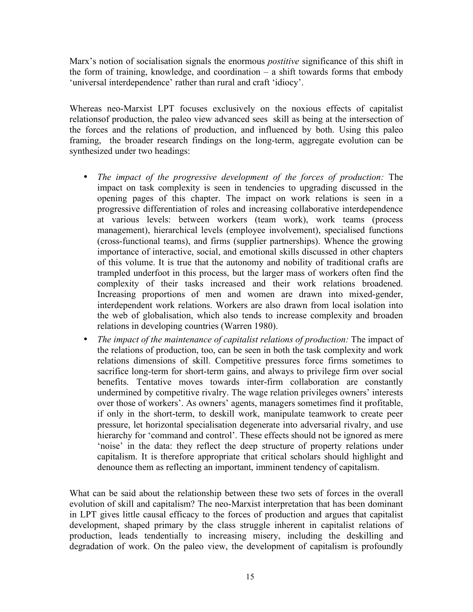Marx's notion of socialisation signals the enormous *postitive* significance of this shift in the form of training, knowledge, and coordination  $-$  a shift towards forms that embody 'universal interdependence' rather than rural and craft 'idiocy'.

Whereas neo-Marxist LPT focuses exclusively on the noxious effects of capitalist relationsof production, the paleo view advanced sees skill as being at the intersection of the forces and the relations of production, and influenced by both. Using this paleo framing, the broader research findings on the long-term, aggregate evolution can be synthesized under two headings:

*The impact of the progressive development of the forces of production:* The impact on task complexity is seen in tendencies to upgrading discussed in the opening pages of this chapter. The impact on work relations is seen in a progressive differentiation of roles and increasing collaborative interdependence at various levels: between workers (team work), work teams (process management), hierarchical levels (employee involvement), specialised functions (cross-functional teams), and firms (supplier partnerships). Whence the growing importance of interactive, social, and emotional skills discussed in other chapters of this volume. It is true that the autonomy and nobility of traditional crafts are trampled underfoot in this process, but the larger mass of workers often find the complexity of their tasks increased and their work relations broadened. Increasing proportions of men and women are drawn into mixed-gender, interdependent work relations. Workers are also drawn from local isolation into the web of globalisation, which also tends to increase complexity and broaden relations in developing countries (Warren 1980).

*The impact of the maintenance of capitalist relations of production:* The impact of the relations of production, too, can be seen in both the task complexity and work relations dimensions of skill. Competitive pressures force firms sometimes to sacrifice long-term for short-term gains, and always to privilege firm over social benefits. Tentative moves towards inter-firm collaboration are constantly undermined by competitive rivalry. The wage relation privileges owners' interests over those of workers'. As owners' agents, managers sometimes find it profitable, if only in the short-term, to deskill work, manipulate teamwork to create peer pressure, let horizontal specialisation degenerate into adversarial rivalry, and use hierarchy for 'command and control'. These effects should not be ignored as mere 'noise' in the data: they reflect the deep structure of property relations under capitalism. It is therefore appropriate that critical scholars should highlight and denounce them as reflecting an important, imminent tendency of capitalism.

What can be said about the relationship between these two sets of forces in the overall evolution of skill and capitalism? The neo-Marxist interpretation that has been dominant in LPT gives little causal efficacy to the forces of production and argues that capitalist development, shaped primary by the class struggle inherent in capitalist relations of production, leads tendentially to increasing misery, including the deskilling and degradation of work. On the paleo view, the development of capitalism is profoundly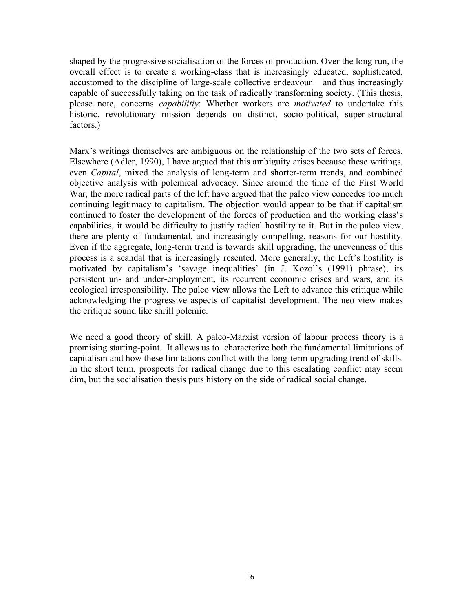shaped by the progressive socialisation of the forces of production. Over the long run, the overall effect is to create a working-class that is increasingly educated, sophisticated, accustomed to the discipline of large-scale collective endeavour – and thus increasingly capable of successfully taking on the task of radically transforming society. (This thesis, please note, concerns *capabilitiy*: Whether workers are *motivated* to undertake this historic, revolutionary mission depends on distinct, socio-political, super-structural factors.)

Marx's writings themselves are ambiguous on the relationship of the two sets of forces. Elsewhere (Adler, 1990), I have argued that this ambiguity arises because these writings, even *Capital*, mixed the analysis of long-term and shorter-term trends, and combined objective analysis with polemical advocacy. Since around the time of the First World War, the more radical parts of the left have argued that the paleo view concedes too much continuing legitimacy to capitalism. The objection would appear to be that if capitalism continued to foster the development of the forces of production and the working class's capabilities, it would be difficulty to justify radical hostility to it. But in the paleo view, there are plenty of fundamental, and increasingly compelling, reasons for our hostility. Even if the aggregate, long-term trend is towards skill upgrading, the unevenness of this process is a scandal that is increasingly resented. More generally, the Left's hostility is motivated by capitalism's 'savage inequalities' (in J. Kozol's (1991) phrase), its persistent un- and under-employment, its recurrent economic crises and wars, and its ecological irresponsibility. The paleo view allows the Left to advance this critique while acknowledging the progressive aspects of capitalist development. The neo view makes the critique sound like shrill polemic.

We need a good theory of skill. A paleo-Marxist version of labour process theory is a promising starting-point. It allows us to characterize both the fundamental limitations of capitalism and how these limitations conflict with the long-term upgrading trend of skills. In the short term, prospects for radical change due to this escalating conflict may seem dim, but the socialisation thesis puts history on the side of radical social change.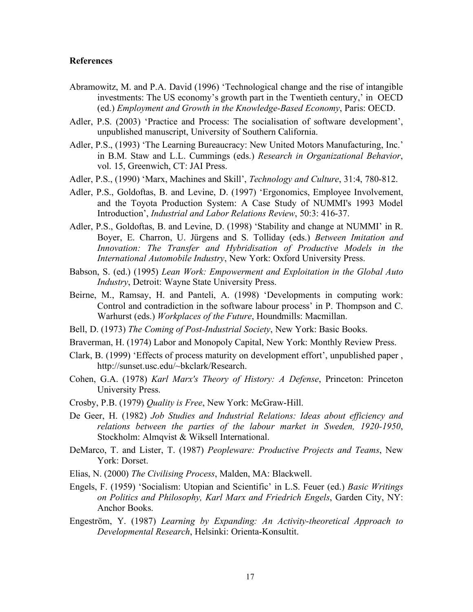#### **References**

- Abramowitz, M. and P.A. David (1996) 'Technological change and the rise of intangible investments: The US economy's growth part in the Twentieth century,' in OECD (ed.) *Employment and Growth in the Knowledge-Based Economy*, Paris: OECD.
- Adler, P.S. (2003) 'Practice and Process: The socialisation of software development', unpublished manuscript, University of Southern California.
- Adler, P.S., (1993) 'The Learning Bureaucracy: New United Motors Manufacturing, Inc.' in B.M. Staw and L.L. Cummings (eds.) *Research in Organizational Behavior*, vol. 15, Greenwich, CT: JAI Press.
- Adler, P.S., (1990) 'Marx, Machines and Skill', *Technology and Culture*, 31:4, 780-812.
- Adler, P.S., Goldoftas, B. and Levine, D. (1997) 'Ergonomics, Employee Involvement, and the Toyota Production System: A Case Study of NUMMI's 1993 Model Introduction', *Industrial and Labor Relations Review*, 50:3: 416-37.
- Adler, P.S., Goldoftas, B. and Levine, D. (1998) 'Stability and change at NUMMI' in R. Boyer, E. Charron, U. Jürgens and S. Tolliday (eds.) *Between Imitation and Innovation: The Transfer and Hybridisation of Productive Models in the International Automobile Industry*, New York: Oxford University Press.
- Babson, S. (ed.) (1995) *Lean Work: Empowerment and Exploitation in the Global Auto Industry*, Detroit: Wayne State University Press.
- Beirne, M., Ramsay, H. and Panteli, A. (1998) 'Developments in computing work: Control and contradiction in the software labour process' in P. Thompson and C. Warhurst (eds.) *Workplaces of the Future*, Houndmills: Macmillan.
- Bell, D. (1973) *The Coming of Post-Industrial Society*, New York: Basic Books.
- Braverman, H. (1974) Labor and Monopoly Capital, New York: Monthly Review Press.
- Clark, B. (1999) 'Effects of process maturity on development effort', unpublished paper , http://sunset.usc.edu/~bkclark/Research.
- Cohen, G.A. (1978) *Karl Marx's Theory of History: A Defense*, Princeton: Princeton University Press.
- Crosby, P.B. (1979) *Quality is Free*, New York: McGraw-Hill.
- De Geer, H. (1982) *Job Studies and Industrial Relations: Ideas about efficiency and relations between the parties of the labour market in Sweden, 1920-1950*, Stockholm: Almqvist & Wiksell International.
- DeMarco, T. and Lister, T. (1987) *Peopleware: Productive Projects and Teams*, New York: Dorset.
- Elias, N. (2000) *The Civilising Process*, Malden, MA: Blackwell.
- Engels, F. (1959) 'Socialism: Utopian and Scientific' in L.S. Feuer (ed.) *Basic Writings on Politics and Philosophy, Karl Marx and Friedrich Engels*, Garden City, NY: Anchor Books.
- Engeström, Y. (1987) *Learning by Expanding: An Activity-theoretical Approach to Developmental Research*, Helsinki: Orienta-Konsultit.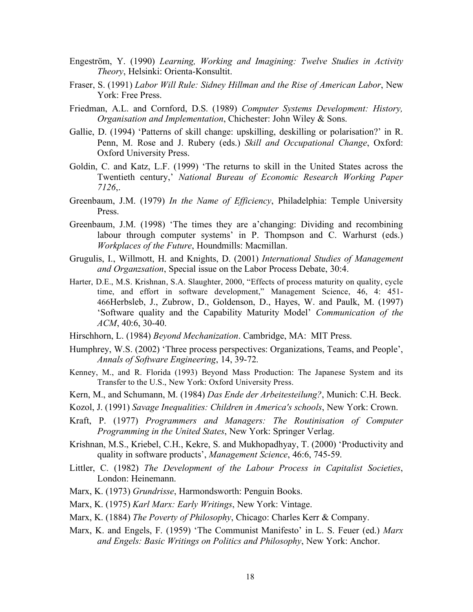- Engeström, Y. (1990) *Learning, Working and Imagining: Twelve Studies in Activity Theory*, Helsinki: Orienta-Konsultit.
- Fraser, S. (1991) *Labor Will Rule: Sidney Hillman and the Rise of American Labor*, New York: Free Press.
- Friedman, A.L. and Cornford, D.S. (1989) *Computer Systems Development: History, Organisation and Implementation*, Chichester: John Wiley & Sons.
- Gallie, D. (1994) 'Patterns of skill change: upskilling, deskilling or polarisation?' in R. Penn, M. Rose and J. Rubery (eds.) *Skill and Occupational Change*, Oxford: Oxford University Press.
- Goldin, C. and Katz, L.F. (1999) 'The returns to skill in the United States across the Twentieth century,' *National Bureau of Economic Research Working Paper 7126*,.
- Greenbaum, J.M. (1979) *In the Name of Efficiency*, Philadelphia: Temple University Press.
- Greenbaum, J.M. (1998) 'The times they are a'changing: Dividing and recombining labour through computer systems' in P. Thompson and C. Warhurst (eds.) *Workplaces of the Future*, Houndmills: Macmillan.
- Grugulis, I., Willmott, H. and Knights, D. (2001) *International Studies of Management and Organzsation*, Special issue on the Labor Process Debate, 30:4.
- Harter, D.E., M.S. Krishnan, S.A. Slaughter, 2000, "Effects of process maturity on quality, cycle time, and effort in software development," Management Science, 46, 4: 451- 466Herbsleb, J., Zubrow, D., Goldenson, D., Hayes, W. and Paulk, M. (1997) 'Software quality and the Capability Maturity Model' *Communication of the ACM*, 40:6, 30-40.
- Hirschhorn, L. (1984) *Beyond Mechanization*. Cambridge, MA: MIT Press.
- Humphrey, W.S. (2002) 'Three process perspectives: Organizations, Teams, and People', *Annals of Software Engineering*, 14, 39-72.
- Kenney, M., and R. Florida (1993) Beyond Mass Production: The Japanese System and its Transfer to the U.S., New York: Oxford University Press.
- Kern, M., and Schumann, M. (1984) *Das Ende der Arbeitesteilung?*, Munich: C.H. Beck.
- Kozol, J. (1991) *Savage Inequalities: Children in America's schools*, New York: Crown.
- Kraft, P. (1977) *Programmers and Managers: The Routinisation of Computer Programming in the United States*, New York: Springer Verlag.
- Krishnan, M.S., Kriebel, C.H., Kekre, S. and Mukhopadhyay, T. (2000) 'Productivity and quality in software products', *Management Science*, 46:6, 745-59.
- Littler, C. (1982) *The Development of the Labour Process in Capitalist Societies*, London: Heinemann.
- Marx, K. (1973) *Grundrisse*, Harmondsworth: Penguin Books.
- Marx, K. (1975) *Karl Marx: Early Writings*, New York: Vintage.
- Marx, K. (1884) *The Poverty of Philosophy*, Chicago: Charles Kerr & Company.
- Marx, K. and Engels, F. (1959) 'The Communist Manifesto' in L. S. Feuer (ed.) *Marx and Engels: Basic Writings on Politics and Philosophy*, New York: Anchor.